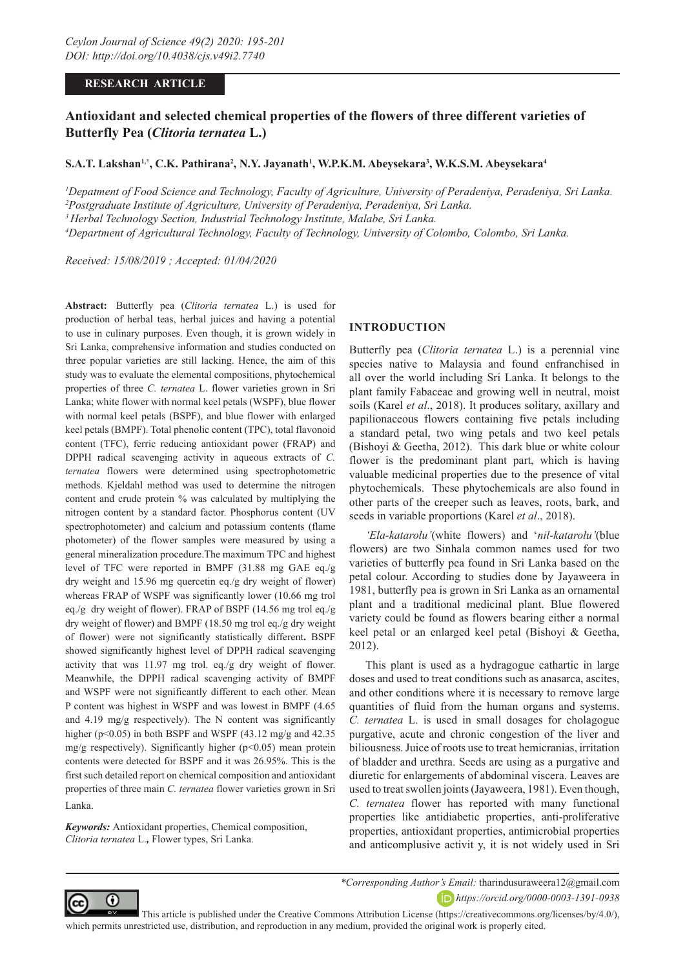# **RESEARCH ARTICLE**

# **Antioxidant and selected chemical properties of the flowers of three different varieties of Butterfly Pea (***Clitoria ternatea* **L.)**

### $\mathbf{S.A.T.}\ \mathbf{Lakshan^{1,*},}\ \mathbf{C.K.}\ \mathbf{Pathirana^{2},}\ \mathbf{N.Y.}\ \mathbf{ Jayanath^{1},}\ \mathbf{W.P.K.M.}\ \mathbf{Abeysekara^{3},}\ \mathbf{W.K.S.M.}\ \mathbf{Abeysekara^{4}}$

 *Depatment of Food Science and Technology, Faculty of Agriculture, University of Peradeniya, Peradeniya, Sri Lanka. Postgraduate Institute of Agriculture, University of Peradeniya, Peradeniya, Sri Lanka. 3 Herbal Technology Section, Industrial Technology Institute, Malabe, Sri Lanka. Department of Agricultural Technology, Faculty of Technology, University of Colombo, Colombo, Sri Lanka.*

*Received: 15/08/2019 ; Accepted: 01/04/2020*

**Abstract:** Butterfly pea (*Clitoria ternatea* L.) is used for production of herbal teas, herbal juices and having a potential to use in culinary purposes. Even though, it is grown widely in Sri Lanka, comprehensive information and studies conducted on three popular varieties are still lacking. Hence, the aim of this study was to evaluate the elemental compositions, phytochemical properties of three *C. ternatea* L. flower varieties grown in Sri Lanka; white flower with normal keel petals (WSPF), blue flower with normal keel petals (BSPF), and blue flower with enlarged keel petals (BMPF). Total phenolic content (TPC), total flavonoid content (TFC), ferric reducing antioxidant power (FRAP) and DPPH radical scavenging activity in aqueous extracts of *C. ternatea* flowers were determined using spectrophotometric methods. Kjeldahl method was used to determine the nitrogen content and crude protein % was calculated by multiplying the nitrogen content by a standard factor. Phosphorus content (UV spectrophotometer) and calcium and potassium contents (flame photometer) of the flower samples were measured by using a general mineralization procedure.The maximum TPC and highest level of TFC were reported in BMPF (31.88 mg GAE eq./g dry weight and 15.96 mg quercetin eq./g dry weight of flower) whereas FRAP of WSPF was significantly lower (10.66 mg trol eq./g dry weight of flower). FRAP of BSPF (14.56 mg trol eq./g dry weight of flower) and BMPF (18.50 mg trol eq./g dry weight of flower) were not significantly statistically different**.** BSPF showed significantly highest level of DPPH radical scavenging activity that was 11.97 mg trol. eq./g dry weight of flower. Meanwhile, the DPPH radical scavenging activity of BMPF and WSPF were not significantly different to each other. Mean P content was highest in WSPF and was lowest in BMPF (4.65 and 4.19 mg/g respectively). The N content was significantly higher ( $p<0.05$ ) in both BSPF and WSPF (43.12 mg/g and 42.35) mg/g respectively). Significantly higher ( $p$ <0.05) mean protein contents were detected for BSPF and it was 26.95%. This is the first such detailed report on chemical composition and antioxidant properties of three main *C. ternatea* flower varieties grown in Sri Lanka.

*Keywords:* Antioxidant properties, Chemical composition, *Clitoria ternatea* L.*,* Flower types, Sri Lanka.

# **INTRODUCTION**

Butterfly pea (*Clitoria ternatea* L.) is a perennial vine species native to Malaysia and found enfranchised in all over the world including Sri Lanka. It belongs to the plant family Fabaceae and growing well in neutral, moist soils (Karel *et al*., 2018). It produces solitary, axillary and papilionaceous flowers containing five petals including a standard petal, two wing petals and two keel petals (Bishoyi & Geetha, 2012). This dark blue or white colour flower is the predominant plant part, which is having valuable medicinal properties due to the presence of vital phytochemicals. These phytochemicals are also found in other parts of the creeper such as leaves, roots, bark, and seeds in variable proportions (Karel *et al*., 2018).

*'Ela-katarolu'*(white flowers) and '*nil-katarolu'*(blue flowers) are two Sinhala common names used for two varieties of butterfly pea found in Sri Lanka based on the petal colour. According to studies done by Jayaweera in 1981, butterfly pea is grown in Sri Lanka as an ornamental plant and a traditional medicinal plant. Blue flowered variety could be found as flowers bearing either a normal keel petal or an enlarged keel petal (Bishoyi & Geetha, 2012).

This plant is used as a hydragogue cathartic in large doses and used to treat conditions such as anasarca, ascites, and other conditions where it is necessary to remove large quantities of fluid from the human organs and systems. *C. ternatea* L. is used in small dosages for cholagogue purgative, acute and chronic congestion of the liver and biliousness. Juice of roots use to treat hemicranias, irritation of bladder and urethra. Seeds are using as a purgative and diuretic for enlargements of abdominal viscera. Leaves are used to treat swollen joints (Jayaweera, 1981). Even though, *C. ternatea* flower has reported with many functional properties like antidiabetic properties, anti-proliferative properties, antioxidant properties, antimicrobial properties and anticomplusive activit y, it is not widely used in Sri



*\*Corresponding Author's Email:* tharindusuraweera12@gmail.com *https://orcid.org/0000-0003-1391-0938*

 This article is published under the Creative Commons Attribution License (https://creativecommons.org/licenses/by/4.0/), which permits unrestricted use, distribution, and reproduction in any medium, provided the original work is properly cited.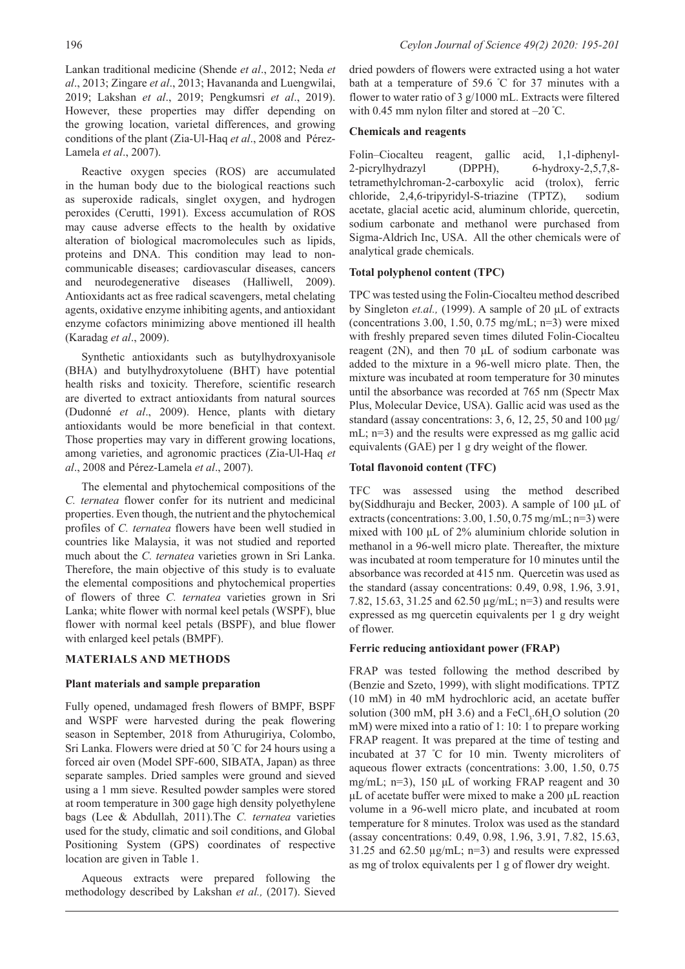Lankan traditional medicine (Shende *et al*., 2012; Neda *et al*., 2013; Zingare *et al*., 2013; Havananda and Luengwilai, 2019; Lakshan *et al*., 2019; Pengkumsri *et al*., 2019). However, these properties may differ depending on the growing location, varietal differences, and growing conditions of the plant (Zia-Ul-Haq *et al*., 2008 and Pérez-Lamela *et al*., 2007).

Reactive oxygen species (ROS) are accumulated in the human body due to the biological reactions such as superoxide radicals, singlet oxygen, and hydrogen peroxides (Cerutti, 1991). Excess accumulation of ROS may cause adverse effects to the health by oxidative alteration of biological macromolecules such as lipids, proteins and DNA. This condition may lead to noncommunicable diseases; cardiovascular diseases, cancers and neurodegenerative diseases (Halliwell, 2009). Antioxidants act as free radical scavengers, metal chelating agents, oxidative enzyme inhibiting agents, and antioxidant enzyme cofactors minimizing above mentioned ill health (Karadag *et al*., 2009).

Synthetic antioxidants such as butylhydroxyanisole (BHA) and butylhydroxytoluene (BHT) have potential health risks and toxicity. Therefore, scientific research are diverted to extract antioxidants from natural sources (Dudonné *et al*., 2009). Hence, plants with dietary antioxidants would be more beneficial in that context. Those properties may vary in different growing locations, among varieties, and agronomic practices (Zia-Ul-Haq *et al*., 2008 and Pérez-Lamela *et al*., 2007).

The elemental and phytochemical compositions of the *C. ternatea* flower confer for its nutrient and medicinal properties. Even though, the nutrient and the phytochemical profiles of *C. ternatea* flowers have been well studied in countries like Malaysia, it was not studied and reported much about the *C. ternatea* varieties grown in Sri Lanka. Therefore, the main objective of this study is to evaluate the elemental compositions and phytochemical properties of flowers of three *C. ternatea* varieties grown in Sri Lanka; white flower with normal keel petals (WSPF), blue flower with normal keel petals (BSPF), and blue flower with enlarged keel petals (BMPF).

# **MATERIALS AND METHODS**

### **Plant materials and sample preparation**

Fully opened, undamaged fresh flowers of BMPF, BSPF and WSPF were harvested during the peak flowering season in September, 2018 from Athurugiriya, Colombo, Sri Lanka. Flowers were dried at 50 º C for 24 hours using a forced air oven (Model SPF-600, SIBATA, Japan) as three separate samples. Dried samples were ground and sieved using a 1 mm sieve. Resulted powder samples were stored at room temperature in 300 gage high density polyethylene bags (Lee & Abdullah, 2011).The *C. ternatea* varieties used for the study, climatic and soil conditions, and Global Positioning System (GPS) coordinates of respective location are given in Table 1.

Aqueous extracts were prepared following the methodology described by Lakshan *et al.,* (2017). Sieved

dried powders of flowers were extracted using a hot water bath at a temperature of 59.6 º C for 37 minutes with a flower to water ratio of 3 g/1000 mL. Extracts were filtered with 0.45 mm nylon filter and stored at –20 º C.

### **Chemicals and reagents**

Folin–Ciocalteu reagent, gallic acid, 1,1-diphenyl-2-picrylhydrazyl (DPPH), 6-hydroxy-2,5,7,8 tetramethylchroman-2-carboxylic acid (trolox), ferric chloride, 2,4,6-tripyridyl-S-triazine (TPTZ), sodium acetate, glacial acetic acid, aluminum chloride, quercetin, sodium carbonate and methanol were purchased from Sigma-Aldrich Inc, USA. All the other chemicals were of analytical grade chemicals.

### **Total polyphenol content (TPC)**

TPC was tested using the Folin-Ciocalteu method described by Singleton *et.al.,* (1999). A sample of 20 μL of extracts (concentrations 3.00, 1.50, 0.75 mg/mL;  $n=3$ ) were mixed with freshly prepared seven times diluted Folin-Ciocalteu reagent (2N), and then 70 μL of sodium carbonate was added to the mixture in a 96-well micro plate. Then, the mixture was incubated at room temperature for 30 minutes until the absorbance was recorded at 765 nm (Spectr Max Plus, Molecular Device, USA). Gallic acid was used as the standard (assay concentrations: 3, 6, 12, 25, 50 and 100  $\mu$ g/ mL; n=3) and the results were expressed as mg gallic acid equivalents (GAE) per 1 g dry weight of the flower.

### **Total flavonoid content (TFC)**

TFC was assessed using the method described by(Siddhuraju and Becker, 2003). A sample of 100 μL of extracts (concentrations: 3.00, 1.50, 0.75 mg/mL; n=3) were mixed with 100 μL of 2% aluminium chloride solution in methanol in a 96-well micro plate. Thereafter, the mixture was incubated at room temperature for 10 minutes until the absorbance was recorded at 415 nm. Quercetin was used as the standard (assay concentrations: 0.49, 0.98, 1.96, 3.91, 7.82, 15.63, 31.25 and 62.50 µg/mL; n=3) and results were expressed as mg quercetin equivalents per 1 g dry weight of flower.

# **Ferric reducing antioxidant power (FRAP)**

FRAP was tested following the method described by (Benzie and Szeto, 1999), with slight modifications. TPTZ (10 mM) in 40 mM hydrochloric acid, an acetate buffer solution (300 mM, pH 3.6) and a  $FeCl<sub>3</sub>$ .6H<sub>2</sub>O solution (20 mM) were mixed into a ratio of 1: 10: 1 to prepare working FRAP reagent. It was prepared at the time of testing and incubated at 37 º C for 10 min. Twenty microliters of aqueous flower extracts (concentrations: 3.00, 1.50, 0.75 mg/mL; n=3), 150 μL of working FRAP reagent and 30 μL of acetate buffer were mixed to make a 200 μL reaction volume in a 96-well micro plate, and incubated at room temperature for 8 minutes. Trolox was used as the standard (assay concentrations: 0.49, 0.98, 1.96, 3.91, 7.82, 15.63, 31.25 and 62.50  $\mu$ g/mL; n=3) and results were expressed as mg of trolox equivalents per 1 g of flower dry weight.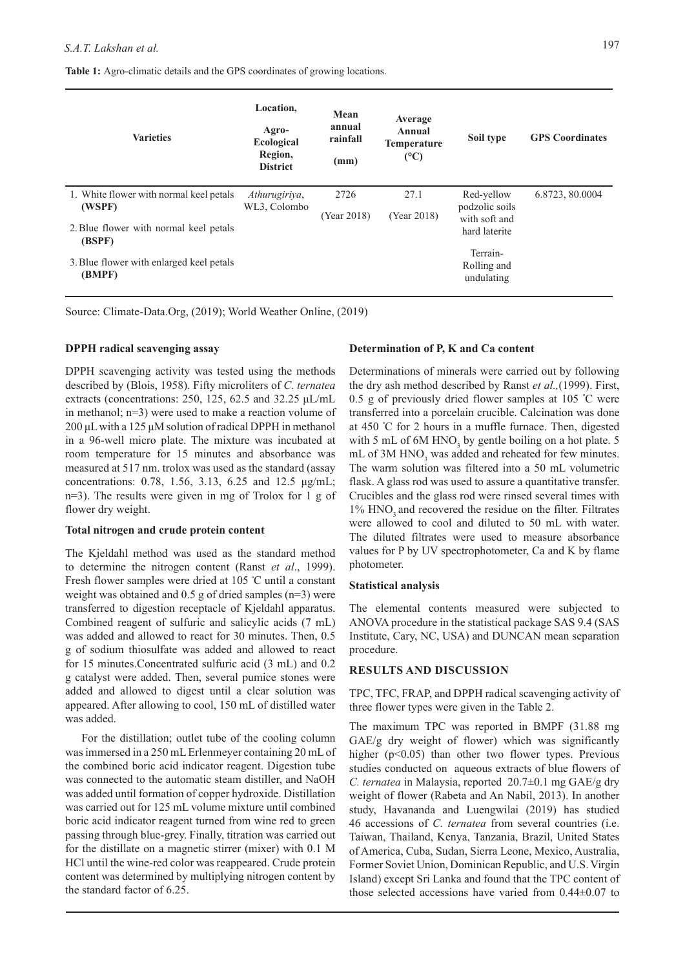**Table 1:** Agro-climatic details and the GPS coordinates of growing locations.

| <b>Varieties</b>                                 | Location,<br>Agro-<br>Ecological<br>Region,<br><b>District</b> | Mean<br>annual<br>rainfall<br>(mm) | Average<br>Annual<br><b>Temperature</b><br>(C) | Soil type                       | <b>GPS</b> Coordinates |
|--------------------------------------------------|----------------------------------------------------------------|------------------------------------|------------------------------------------------|---------------------------------|------------------------|
| 1. White flower with normal keel petals          | Athurugiriya,                                                  | 2726                               | 27.1                                           | Red-yellow                      | 6.8723, 80.0004        |
| (WSPF)                                           | WL3, Colombo                                                   | (Year 2018)                        | (Year 2018)                                    | podzolic soils<br>with soft and |                        |
| 2. Blue flower with normal keel petals<br>(BSPF) |                                                                |                                    |                                                | hard laterite                   |                        |
| 3. Blue flower with enlarged keel petals         |                                                                |                                    |                                                | Terrain-<br>Rolling and         |                        |
| (BMPF)                                           |                                                                |                                    |                                                | undulating                      |                        |

Source: Climate-Data.Org, (2019); World Weather Online, (2019)

### **DPPH radical scavenging assay**

DPPH scavenging activity was tested using the methods described by (Blois, 1958). Fifty microliters of *C. ternatea*  extracts (concentrations: 250, 125, 62.5 and 32.25 μL/mL in methanol; n=3) were used to make a reaction volume of 200 μL with a 125 μM solution of radical DPPH in methanol in a 96-well micro plate. The mixture was incubated at room temperature for 15 minutes and absorbance was measured at 517 nm. trolox was used as the standard (assay concentrations: 0.78, 1.56, 3.13, 6.25 and 12.5 μg/mL; n=3). The results were given in mg of Trolox for 1 g of flower dry weight.

#### **Total nitrogen and crude protein content**

The Kjeldahl method was used as the standard method to determine the nitrogen content (Ranst *et al*., 1999). Fresh flower samples were dried at 105 º C until a constant weight was obtained and 0.5 g of dried samples (n=3) were transferred to digestion receptacle of Kjeldahl apparatus. Combined reagent of sulfuric and salicylic acids (7 mL) was added and allowed to react for 30 minutes. Then, 0.5 g of sodium thiosulfate was added and allowed to react for 15 minutes.Concentrated sulfuric acid (3 mL) and 0.2 g catalyst were added. Then, several pumice stones were added and allowed to digest until a clear solution was appeared. After allowing to cool, 150 mL of distilled water was added.

For the distillation; outlet tube of the cooling column was immersed in a 250 mL Erlenmeyer containing 20 mL of the combined boric acid indicator reagent. Digestion tube was connected to the automatic steam distiller, and NaOH was added until formation of copper hydroxide. Distillation was carried out for 125 mL volume mixture until combined boric acid indicator reagent turned from wine red to green passing through blue-grey. Finally, titration was carried out for the distillate on a magnetic stirrer (mixer) with 0.1 M HCl until the wine-red color was reappeared. Crude protein content was determined by multiplying nitrogen content by the standard factor of 6.25.

### **Determination of P, K and Ca content**

Determinations of minerals were carried out by following the dry ash method described by Ranst *et al.,*(1999). First, 0.5 g of previously dried flower samples at 105 º C were transferred into a porcelain crucible. Calcination was done at 450 º C for 2 hours in a muffle furnace. Then, digested with 5 mL of  $6M HNO<sub>3</sub>$  by gentle boiling on a hot plate. 5 mL of 3M HNO<sub>3</sub> was added and reheated for few minutes. The warm solution was filtered into a 50 mL volumetric flask. A glass rod was used to assure a quantitative transfer. Crucibles and the glass rod were rinsed several times with 1% HNO<sub>3</sub> and recovered the residue on the filter. Filtrates were allowed to cool and diluted to 50 mL with water. The diluted filtrates were used to measure absorbance values for P by UV spectrophotometer, Ca and K by flame photometer.

#### **Statistical analysis**

The elemental contents measured were subjected to ANOVA procedure in the statistical package SAS 9.4 (SAS Institute, Cary, NC, USA) and DUNCAN mean separation procedure.

### **RESULTS AND DISCUSSION**

TPC, TFC, FRAP, and DPPH radical scavenging activity of three flower types were given in the Table 2.

The maximum TPC was reported in BMPF (31.88 mg GAE/g dry weight of flower) which was significantly higher ( $p<0.05$ ) than other two flower types. Previous studies conducted on aqueous extracts of blue flowers of *C. ternatea* in Malaysia, reported 20.7±0.1 mg GAE/g dry weight of flower (Rabeta and An Nabil, 2013). In another study, Havananda and Luengwilai (2019) has studied 46 accessions of *C. ternatea* from several countries (i.e. Taiwan, Thailand, Kenya, Tanzania, Brazil, United States of America, Cuba, Sudan, Sierra Leone, Mexico, Australia, Former Soviet Union, Dominican Republic, and U.S. Virgin Island) except Sri Lanka and found that the TPC content of those selected accessions have varied from 0.44±0.07 to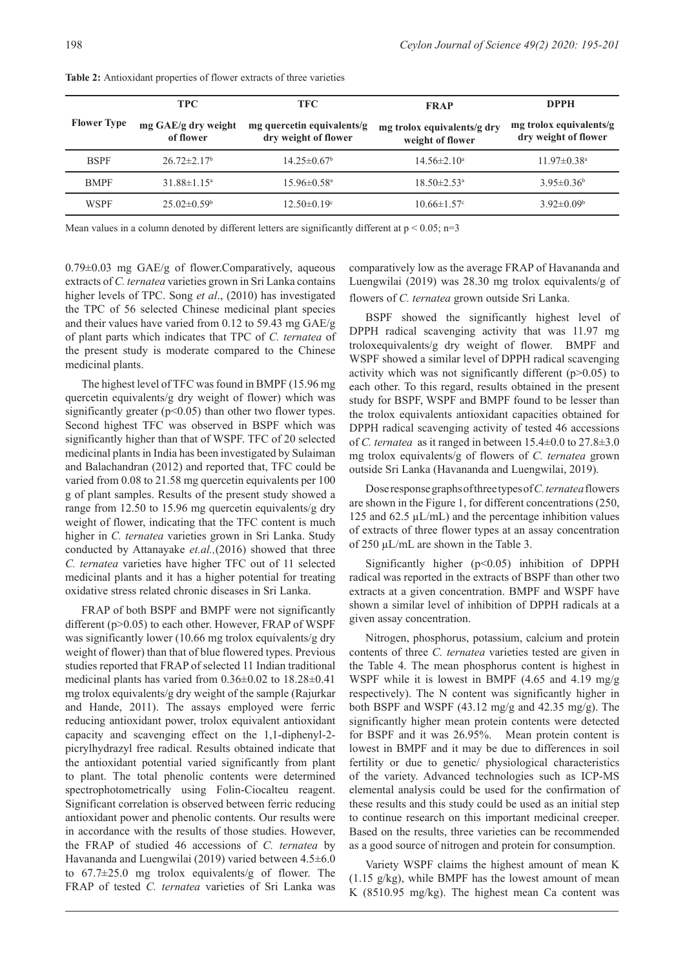|                    | <b>TPC</b>                       | <b>TFC</b>                                         | <b>FRAP</b>                                     | <b>DPPH</b>                                     |
|--------------------|----------------------------------|----------------------------------------------------|-------------------------------------------------|-------------------------------------------------|
| <b>Flower Type</b> | mg GAE/g dry weight<br>of flower | mg quercetin equivalents/g<br>dry weight of flower | mg trolox equivalents/g dry<br>weight of flower | mg trolox equivalents/g<br>dry weight of flower |
| <b>BSPF</b>        | $26.72 \pm 2.17$ <sup>b</sup>    | $14.25 \pm 0.67$ <sup>b</sup>                      | $14.56 \pm 2.10^a$                              | $11.97 \pm 0.38$ <sup>a</sup>                   |
| <b>BMPF</b>        | $31.88 \pm 1.15^{\circ}$         | $15.96 \pm 0.58$ <sup>a</sup>                      | $18.50 \pm 2.53$ <sup>a</sup>                   | $3.95 \pm 0.36^b$                               |
| <b>WSPF</b>        | $25.02 \pm 0.59$ <sup>b</sup>    | $12.50 \pm 0.19$ °                                 | $10.66 \pm 1.57$ °                              | $3.92 \pm 0.09^{\circ}$                         |
|                    |                                  |                                                    |                                                 |                                                 |

**Table 2:** Antioxidant properties of flower extracts of three varieties

Mean values in a column denoted by different letters are significantly different at  $p < 0.05$ ; n=3

 $0.79\pm0.03$  mg GAE/g of flower. Comparatively, aqueous extracts of *C. ternatea* varieties grown in Sri Lanka contains higher levels of TPC. Song *et al*., (2010) has investigated the TPC of 56 selected Chinese medicinal plant species and their values have varied from 0.12 to 59.43 mg GAE/g of plant parts which indicates that TPC of *C. ternatea* of the present study is moderate compared to the Chinese medicinal plants.

The highest level of TFC was found in BMPF (15.96 mg quercetin equivalents/g dry weight of flower) which was significantly greater  $(p<0.05)$  than other two flower types. Second highest TFC was observed in BSPF which was significantly higher than that of WSPF. TFC of 20 selected medicinal plants in India has been investigated by Sulaiman and Balachandran (2012) and reported that, TFC could be varied from 0.08 to 21.58 mg quercetin equivalents per 100 g of plant samples. Results of the present study showed a range from 12.50 to 15.96 mg quercetin equivalents/g dry weight of flower, indicating that the TFC content is much higher in *C. ternatea* varieties grown in Sri Lanka. Study conducted by Attanayake *et.al.,*(2016) showed that three *C. ternatea* varieties have higher TFC out of 11 selected medicinal plants and it has a higher potential for treating oxidative stress related chronic diseases in Sri Lanka.

FRAP of both BSPF and BMPF were not significantly different (p>0.05) to each other. However, FRAP of WSPF was significantly lower (10.66 mg trolox equivalents/g dry weight of flower) than that of blue flowered types. Previous studies reported that FRAP of selected 11 Indian traditional medicinal plants has varied from 0.36±0.02 to 18.28±0.41 mg trolox equivalents/g dry weight of the sample (Rajurkar and Hande, 2011). The assays employed were ferric reducing antioxidant power, trolox equivalent antioxidant capacity and scavenging effect on the 1,1-diphenyl-2 picrylhydrazyl free radical. Results obtained indicate that the antioxidant potential varied significantly from plant to plant. The total phenolic contents were determined spectrophotometrically using Folin-Ciocalteu reagent. Significant correlation is observed between ferric reducing antioxidant power and phenolic contents. Our results were in accordance with the results of those studies. However, the FRAP of studied 46 accessions of *C. ternatea* by Havananda and Luengwilai (2019) varied between 4.5±6.0 to 67.7±25.0 mg trolox equivalents/g of flower. The FRAP of tested *C. ternatea* varieties of Sri Lanka was

comparatively low as the average FRAP of Havananda and Luengwilai (2019) was 28.30 mg trolox equivalents/g of flowers of *C. ternatea* grown outside Sri Lanka.

BSPF showed the significantly highest level of DPPH radical scavenging activity that was 11.97 mg troloxequivalents/g dry weight of flower. BMPF and WSPF showed a similar level of DPPH radical scavenging activity which was not significantly different  $(p>0.05)$  to each other. To this regard, results obtained in the present study for BSPF, WSPF and BMPF found to be lesser than the trolox equivalents antioxidant capacities obtained for DPPH radical scavenging activity of tested 46 accessions of *C. ternatea* as it ranged in between 15.4±0.0 to 27.8±3.0 mg trolox equivalents/g of flowers of *C. ternatea* grown outside Sri Lanka (Havananda and Luengwilai, 2019).

Dose response graphs of three types of *C. ternatea* flowers are shown in the Figure 1, for different concentrations (250, 125 and 62.5  $\mu$ L/mL) and the percentage inhibition values of extracts of three flower types at an assay concentration of 250 µL/mL are shown in the Table 3.

Significantly higher (p<0.05) inhibition of DPPH radical was reported in the extracts of BSPF than other two extracts at a given concentration. BMPF and WSPF have shown a similar level of inhibition of DPPH radicals at a given assay concentration.

Nitrogen, phosphorus, potassium, calcium and protein contents of three *C. ternatea* varieties tested are given in the Table 4. The mean phosphorus content is highest in WSPF while it is lowest in BMPF (4.65 and 4.19 mg/g respectively). The N content was significantly higher in both BSPF and WSPF (43.12 mg/g and 42.35 mg/g). The significantly higher mean protein contents were detected for BSPF and it was 26.95%. Mean protein content is lowest in BMPF and it may be due to differences in soil fertility or due to genetic/ physiological characteristics of the variety. Advanced technologies such as ICP-MS elemental analysis could be used for the confirmation of these results and this study could be used as an initial step to continue research on this important medicinal creeper. Based on the results, three varieties can be recommended as a good source of nitrogen and protein for consumption.

Variety WSPF claims the highest amount of mean K (1.15 g/kg), while BMPF has the lowest amount of mean K (8510.95 mg/kg). The highest mean Ca content was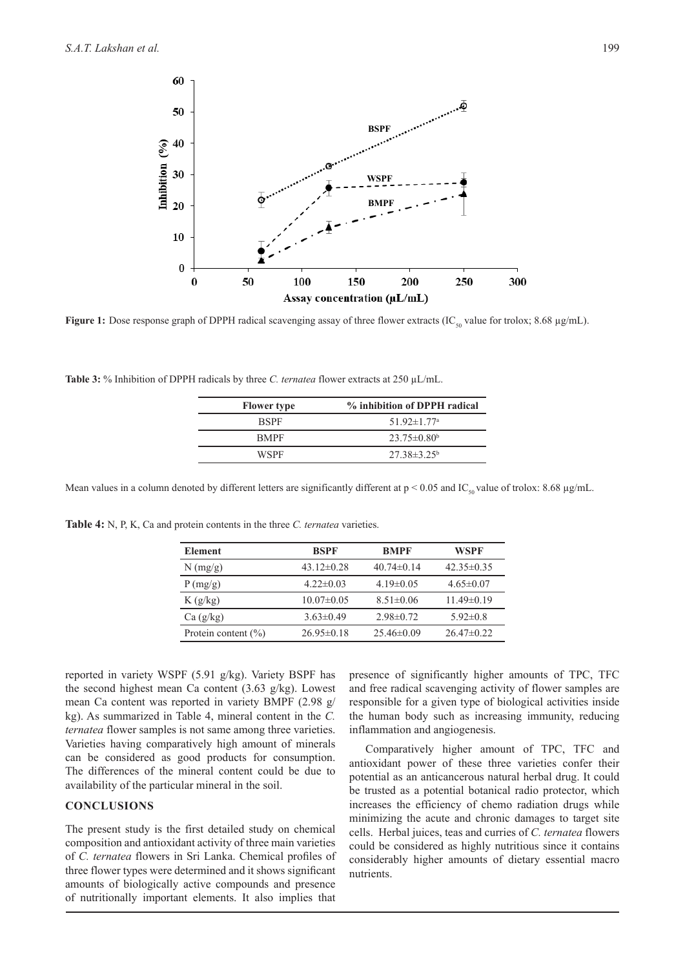

Figure 1: Dose response graph of DPPH radical scavenging assay of three flower extracts (IC<sub>50</sub> value for trolox; 8.68 µg/mL).

**Table 3:** % Inhibition of DPPH radicals by three *C. ternatea* flower extracts at 250 µL/mL.

| <b>Flower</b> type | % inhibition of DPPH radical  |
|--------------------|-------------------------------|
| <b>RSPF</b>        | $51.92 \pm 1.77$ <sup>a</sup> |
| <b>BMPF</b>        | $23.75 \pm 0.80^b$            |
| WSPF               | $27.38 \pm 3.25^{\circ}$      |
|                    |                               |

Mean values in a column denoted by different letters are significantly different at  $p < 0.05$  and IC<sub>50</sub> value of trolox: 8.68 µg/mL.

K (g/kg)  $10.07\pm0.05$   $8.51\pm0.06$   $11.49\pm0.19$ Ca (g/kg)  $3.63\pm0.49$   $2.98\pm0.72$   $5.92\pm0.8$ Protein content (%)  $26.95\pm0.18$   $25.46\pm0.09$   $26.47\pm0.22$ 

**Element BSPF BMPF WSPF** N (mg/g) 43.12±0.28 40.74±0.14 42.35±0.35 P (mg/g) 4.22±0.03 4.19±0.05 4.65±0.07

reported in variety WSPF (5.91 g/kg). Variety BSPF has the second highest mean Ca content (3.63 g/kg). Lowest mean Ca content was reported in variety BMPF (2.98 g/ kg). As summarized in Table 4, mineral content in the *C. ternatea* flower samples is not same among three varieties. Varieties having comparatively high amount of minerals can be considered as good products for consumption. The differences of the mineral content could be due to availability of the particular mineral in the soil.

**Table 4:** N, P, K, Ca and protein contents in the three *C. ternatea* varieties.

## **CONCLUSIONS**

The present study is the first detailed study on chemical composition and antioxidant activity of three main varieties of *C. ternatea* flowers in Sri Lanka. Chemical profiles of three flower types were determined and it shows significant amounts of biologically active compounds and presence of nutritionally important elements. It also implies that

presence of significantly higher amounts of TPC, TFC and free radical scavenging activity of flower samples are responsible for a given type of biological activities inside the human body such as increasing immunity, reducing inflammation and angiogenesis.

Comparatively higher amount of TPC, TFC and antioxidant power of these three varieties confer their potential as an anticancerous natural herbal drug. It could be trusted as a potential botanical radio protector, which increases the efficiency of chemo radiation drugs while minimizing the acute and chronic damages to target site cells. Herbal juices, teas and curries of *C. ternatea* flowers could be considered as highly nutritious since it contains considerably higher amounts of dietary essential macro nutrients.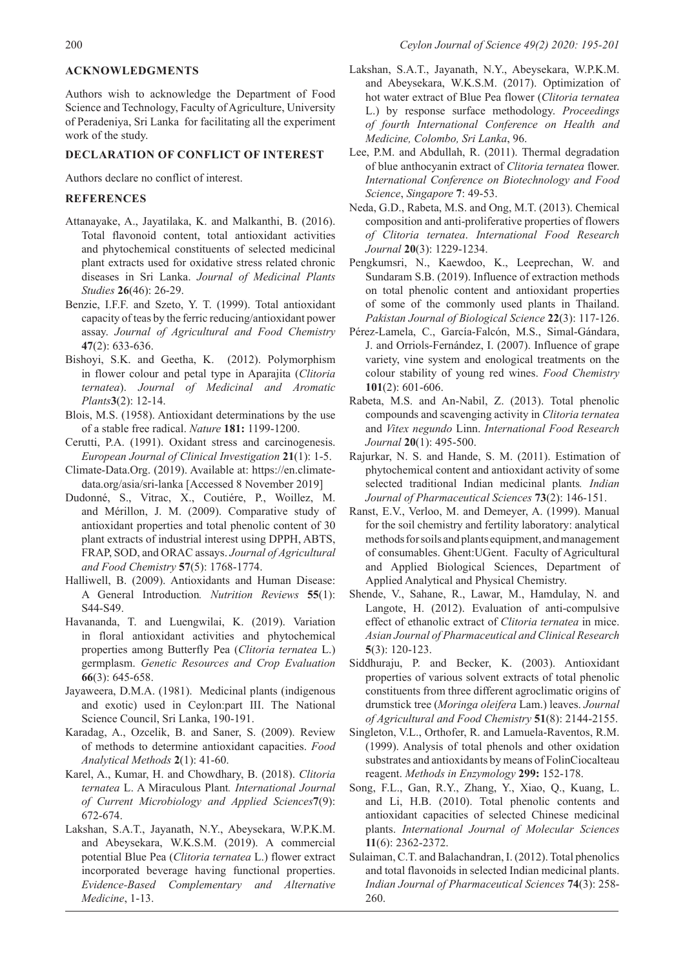Authors wish to acknowledge the Department of Food Science and Technology, Faculty of Agriculture, University of Peradeniya, Sri Lanka for facilitating all the experiment work of the study.

#### **DECLARATION OF CONFLICT OF INTEREST**

Authors declare no conflict of interest.

## **REFERENCES**

- Attanayake, A., Jayatilaka, K. and Malkanthi, B. (2016). Total flavonoid content, total antioxidant activities and phytochemical constituents of selected medicinal plant extracts used for oxidative stress related chronic diseases in Sri Lanka. *Journal of Medicinal Plants Studies* **26**(46): 26-29.
- Benzie, I.F.F. and Szeto, Y. T. (1999). Total antioxidant capacity of teas by the ferric reducing/antioxidant power assay. *Journal of Agricultural and Food Chemistry*  **47**(2): 633-636.
- Bishoyi, S.K. and Geetha, K. (2012). Polymorphism in flower colour and petal type in Aparajita (*Clitoria ternatea*). *Journal of Medicinal and Aromatic Plants***3**(2): 12-14.
- Blois, M.S. (1958). Antioxidant determinations by the use of a stable free radical. *Nature* **181:** 1199-1200.
- Cerutti, P.A. (1991). Oxidant stress and carcinogenesis. *European Journal of Clinical Investigation* **21**(1): 1-5.
- Climate-Data.Org. (2019). Available at: https://en.climatedata.org/asia/sri-lanka [Accessed 8 November 2019]
- Dudonné, S., Vitrac, X., Coutiére, P., Woillez, M. and Mérillon, J. M. (2009). Comparative study of antioxidant properties and total phenolic content of 30 plant extracts of industrial interest using DPPH, ABTS, FRAP, SOD, and ORAC assays. *Journal of Agricultural and Food Chemistry* **57**(5): 1768-1774.
- Halliwell, B. (2009). Antioxidants and Human Disease: A General Introduction*. Nutrition Reviews* **55**(1): S44-S49.
- Havananda, T. and Luengwilai, K. (2019). Variation in floral antioxidant activities and phytochemical properties among Butterfly Pea (*Clitoria ternatea* L.) germplasm. *Genetic Resources and Crop Evaluation*  **66**(3): 645-658.
- Jayaweera, D.M.A. (1981). Medicinal plants (indigenous and exotic) used in Ceylon:part III. The National Science Council, Sri Lanka, 190-191.
- Karadag, A., Ozcelik, B. and Saner, S. (2009). Review of methods to determine antioxidant capacities. *Food Analytical Methods* **2**(1): 41-60.
- Karel, A., Kumar, H. and Chowdhary, B. (2018). *Clitoria ternatea* L. A Miraculous Plant*. International Journal of Current Microbiology and Applied Sciences***7**(9): 672-674.
- Lakshan, S.A.T., Jayanath, N.Y., Abeysekara, W.P.K.M. and Abeysekara, W.K.S.M. (2019). A commercial potential Blue Pea (*Clitoria ternatea* L.) flower extract incorporated beverage having functional properties. *Evidence-Based Complementary and Alternative Medicine*, 1-13.
- Lakshan, S.A.T., Jayanath, N.Y., Abeysekara, W.P.K.M. and Abeysekara, W.K.S.M. (2017). Optimization of hot water extract of Blue Pea flower (*Clitoria ternatea* L.) by response surface methodology. *Proceedings of fourth International Conference on Health and Medicine, Colombo, Sri Lanka*, 96.
- Lee, P.M. and Abdullah, R. (2011). Thermal degradation of blue anthocyanin extract of *Clitoria ternatea* flower. *International Conference on Biotechnology and Food Science*, *Singapore* **7**: 49-53.
- Neda, G.D., Rabeta, M.S. and Ong, M.T. (2013). Chemical composition and anti-proliferative properties of flowers *of Clitoria ternatea*. *International Food Research Journal* **20**(3): 1229-1234.
- Pengkumsri, N., Kaewdoo, K., Leeprechan, W. and Sundaram S.B. (2019). Influence of extraction methods on total phenolic content and antioxidant properties of some of the commonly used plants in Thailand. *Pakistan Journal of Biological Science* **22**(3): 117-126.
- Pérez-Lamela, C., García-Falcón, M.S., Simal-Gándara, J. and Orriols-Fernández, I. (2007). Influence of grape variety, vine system and enological treatments on the colour stability of young red wines. *Food Chemistry*  **101**(2): 601-606.
- Rabeta, M.S. and An-Nabil, Z. (2013). Total phenolic compounds and scavenging activity in *Clitoria ternatea* and *Vitex negundo* Linn. *International Food Research Journal* **20**(1): 495-500.
- Rajurkar, N. S. and Hande, S. M. (2011). Estimation of phytochemical content and antioxidant activity of some selected traditional Indian medicinal plants*. Indian Journal of Pharmaceutical Sciences* **73**(2): 146-151.
- Ranst, E.V., Verloo, M. and Demeyer, A. (1999). Manual for the soil chemistry and fertility laboratory: analytical methods for soils and plants equipment, and management of consumables. Ghent:UGent. Faculty of Agricultural and Applied Biological Sciences, Department of Applied Analytical and Physical Chemistry.
- Shende, V., Sahane, R., Lawar, M., Hamdulay, N. and Langote, H. (2012). Evaluation of anti-compulsive effect of ethanolic extract of *Clitoria ternatea* in mice. *Asian Journal of Pharmaceutical and Clinical Research*  **5**(3): 120-123.
- Siddhuraju, P. and Becker, K. (2003). Antioxidant properties of various solvent extracts of total phenolic constituents from three different agroclimatic origins of drumstick tree (*Moringa oleifera* Lam.) leaves. *Journal of Agricultural and Food Chemistry* **51**(8): 2144-2155.
- Singleton, V.L., Orthofer, R. and Lamuela-Raventos, R.M. (1999). Analysis of total phenols and other oxidation substrates and antioxidants by means of FolinCiocalteau reagent. *Methods in Enzymology* **299:** 152-178.
- Song, F.L., Gan, R.Y., Zhang, Y., Xiao, Q., Kuang, L. and Li, H.B. (2010). Total phenolic contents and antioxidant capacities of selected Chinese medicinal plants. *International Journal of Molecular Sciences*  **11**(6): 2362-2372.
- Sulaiman, C.T. and Balachandran, I. (2012). Total phenolics and total flavonoids in selected Indian medicinal plants. *Indian Journal of Pharmaceutical Sciences* **74**(3): 258- 260.